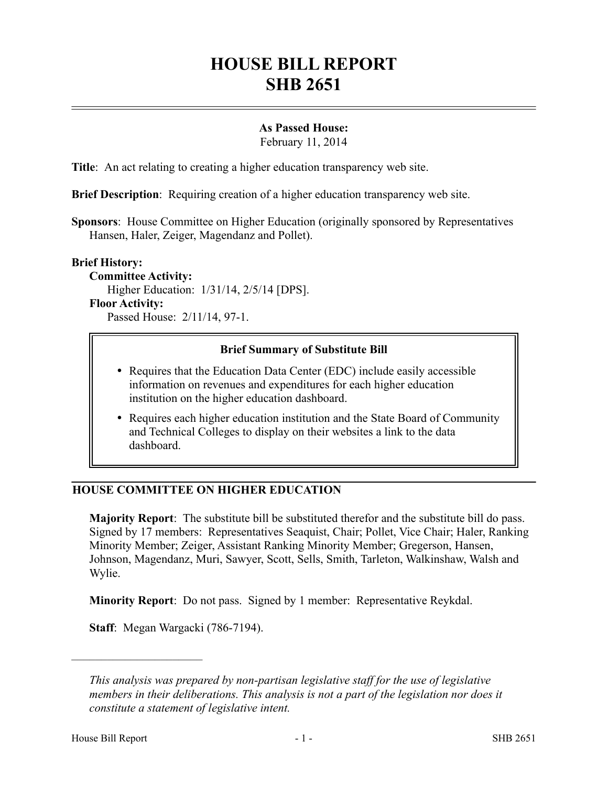# **HOUSE BILL REPORT SHB 2651**

# **As Passed House:**

February 11, 2014

**Title**: An act relating to creating a higher education transparency web site.

**Brief Description**: Requiring creation of a higher education transparency web site.

**Sponsors**: House Committee on Higher Education (originally sponsored by Representatives Hansen, Haler, Zeiger, Magendanz and Pollet).

#### **Brief History:**

**Committee Activity:** Higher Education: 1/31/14, 2/5/14 [DPS]. **Floor Activity:** Passed House: 2/11/14, 97-1.

#### **Brief Summary of Substitute Bill**

- Requires that the Education Data Center (EDC) include easily accessible information on revenues and expenditures for each higher education institution on the higher education dashboard.
- Requires each higher education institution and the State Board of Community and Technical Colleges to display on their websites a link to the data dashboard.

# **HOUSE COMMITTEE ON HIGHER EDUCATION**

**Majority Report**: The substitute bill be substituted therefor and the substitute bill do pass. Signed by 17 members: Representatives Seaquist, Chair; Pollet, Vice Chair; Haler, Ranking Minority Member; Zeiger, Assistant Ranking Minority Member; Gregerson, Hansen, Johnson, Magendanz, Muri, Sawyer, Scott, Sells, Smith, Tarleton, Walkinshaw, Walsh and Wylie.

**Minority Report**: Do not pass. Signed by 1 member: Representative Reykdal.

**Staff**: Megan Wargacki (786-7194).

––––––––––––––––––––––

*This analysis was prepared by non-partisan legislative staff for the use of legislative members in their deliberations. This analysis is not a part of the legislation nor does it constitute a statement of legislative intent.*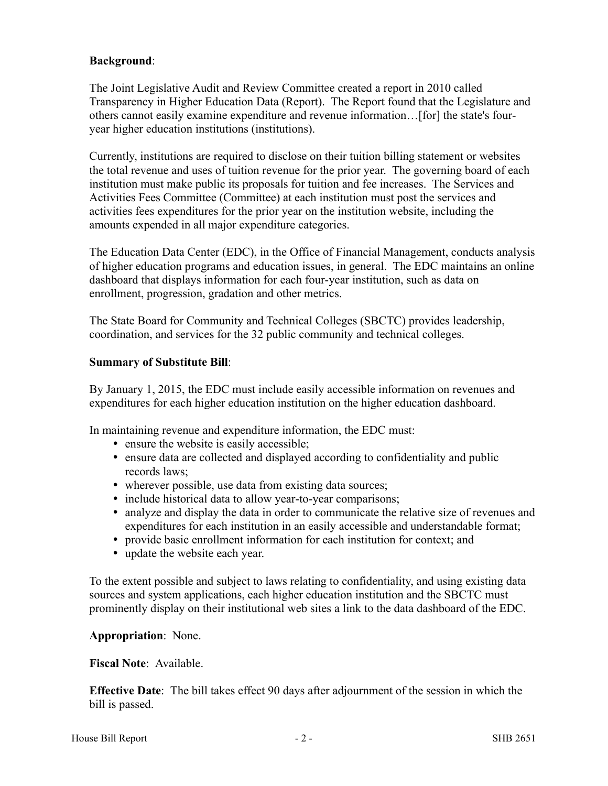# **Background**:

The Joint Legislative Audit and Review Committee created a report in 2010 called Transparency in Higher Education Data (Report). The Report found that the Legislature and others cannot easily examine expenditure and revenue information…[for] the state's fouryear higher education institutions (institutions).

Currently, institutions are required to disclose on their tuition billing statement or websites the total revenue and uses of tuition revenue for the prior year. The governing board of each institution must make public its proposals for tuition and fee increases. The Services and Activities Fees Committee (Committee) at each institution must post the services and activities fees expenditures for the prior year on the institution website, including the amounts expended in all major expenditure categories.

The Education Data Center (EDC), in the Office of Financial Management, conducts analysis of higher education programs and education issues, in general. The EDC maintains an online dashboard that displays information for each four-year institution, such as data on enrollment, progression, gradation and other metrics.

The State Board for Community and Technical Colleges (SBCTC) provides leadership, coordination, and services for the 32 public community and technical colleges.

#### **Summary of Substitute Bill**:

By January 1, 2015, the EDC must include easily accessible information on revenues and expenditures for each higher education institution on the higher education dashboard.

In maintaining revenue and expenditure information, the EDC must:

- ensure the website is easily accessible;
- ensure data are collected and displayed according to confidentiality and public records laws;
- wherever possible, use data from existing data sources;
- include historical data to allow year-to-year comparisons;
- analyze and display the data in order to communicate the relative size of revenues and expenditures for each institution in an easily accessible and understandable format;
- provide basic enrollment information for each institution for context; and
- update the website each year.

To the extent possible and subject to laws relating to confidentiality, and using existing data sources and system applications, each higher education institution and the SBCTC must prominently display on their institutional web sites a link to the data dashboard of the EDC.

#### **Appropriation**: None.

# **Fiscal Note**: Available.

**Effective Date**: The bill takes effect 90 days after adjournment of the session in which the bill is passed.